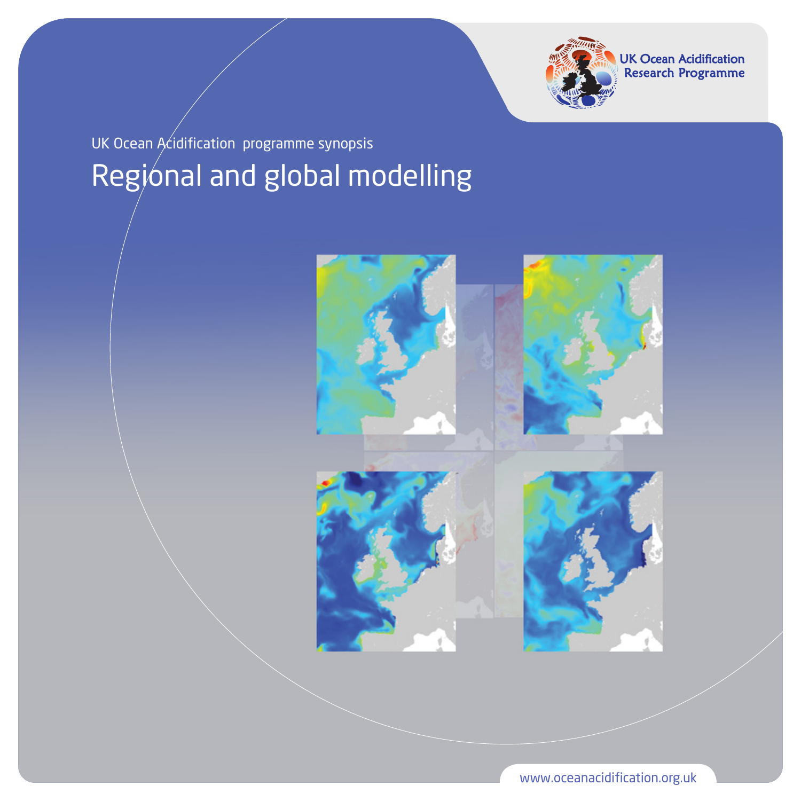

UK Ocean Acidification<br>Research Programme

# Regional and global modelling UK Ocean Acidification programme synopsis



www.oceanacidification.org.uk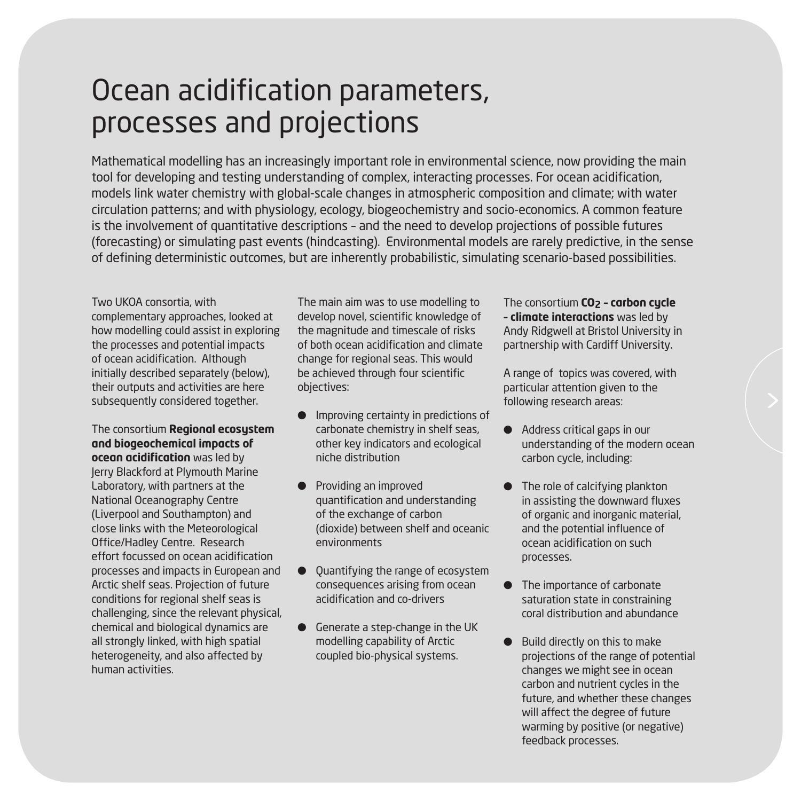# Ocean acidification parameters, processes and projections

Mathematical modelling has an increasingly important role in environmental science, now providing the main tool for developing and testing understanding of complex, interacting processes. For ocean acidification, models link water chemistry with global-scale changes in atmospheric composition and climate; with water circulation patterns; and with physiology, ecology, biogeochemistry and socio-economics. A common feature is the involvement of quantitative descriptions – and the need to develop projections of possible futures (forecasting) or simulating past events (hindcasting). Environmental models are rarely predictive, in the sense of defining deterministic outcomes, but are inherently probabilistic, simulating scenario-based possibilities.

Two UKOA consortia, with complementary approaches, looked at how modelling could assist in exploring the processes and potential impacts of ocean acidification. Although initially described separately (below), their outputs and activities are here subsequently considered together.

The consortium **Regional ecosystem and biogeochemical impacts of ocean acidification** was led by Jerry Blackford at Plymouth Marine Laboratory, with partners at the National Oceanography Centre (Liverpool and Southampton) and close links with the Meteorological Office/Hadley Centre. Research effort focussed on ocean acidification processes and impacts in European and Arctic shelf seas. Projection of future conditions for regional shelf seas is challenging, since the relevant physical, chemical and biological dynamics are all strongly linked, with high spatial heterogeneity, and also affected by human activities.

The main aim was to use modelling to develop novel, scientific knowledge of the magnitude and timescale of risks of both ocean acidification and climate change for regional seas. This would be achieved through four scientific objectives:

- Improving certainty in predictions of carbonate chemistry in shelf seas, other key indicators and ecological niche distribution
- **•** Providing an improved quantification and understanding of the exchange of carbon (dioxide) between shelf and oceanic environments
- $\bullet$  Quantifying the range of ecosystem consequences arising from ocean acidification and co-drivers
- l Generate a step-change in the UK modelling capability of Arctic coupled bio-physical systems.

The consortium **CO2 – carbon cycle – climate interactions** was led by Andy Ridgwell at Bristol University in partnership with Cardiff University.

A range of topics was covered, with particular attention given to the following research areas:

- Address critical gaps in our understanding of the modern ocean carbon cycle, including:
- $\bullet$  The role of calcifying plankton in assisting the downward fluxes of organic and inorganic material, and the potential influence of ocean acidification on such processes.
- The importance of carbonate saturation state in constraining coral distribution and abundance
- **Build directly on this to make** projections of the range of potential changes we might see in ocean carbon and nutrient cycles in the future, and whether these changes will affect the degree of future warming by positive (or negative) feedback processes.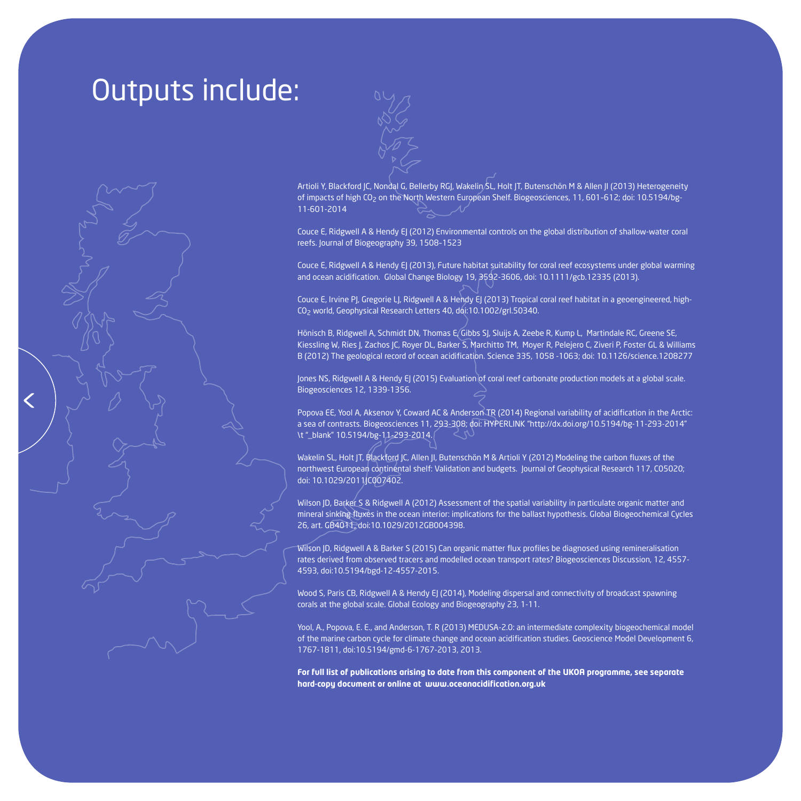### Outputs include:



Artioli Y, Blackford JC, Nondal G, Bellerby RGJ, Wakelin SL, Holt JT, Butenschön M & Allen JI (2013) Heterogeneity of impacts of high CO<sub>2</sub> on the North Western European Shelf. Biogeosciences, 11, 601-612; doi: 10.5194/bg-11-601-2014

Couce E, Ridgwell A & Hendy EJ (2012) Environmental controls on the global distribution of shallow-water coral reefs. Journal of Biogeography 39, 1508–1523

Couce E, Ridgwell A & Hendy EJ (2013), Future habitat suitability for coral reef ecosystems under global warming and ocean acidification. Global Change Biology 19, 3592-3606, doi: 10.1111/gcb.12335 (2013).

Couce E, Irvine PJ, Gregorie LJ, Ridgwell A & Hendy EJ (2013) Tropical coral reef habitat in a geoengineered, high-CO2 world, Geophysical Research Letters 40, doi:10.1002/grl.50340.

Hönisch B, Ridgwell A, Schmidt DN, Thomas E, Gibbs SJ, Sluijs A, Zeebe R, Kump L, Martindale RC, Greene SE, Kiessling W, Ries J, Zachos JC, Royer DL, Barker S, Marchitto TM, Moyer R, Pelejero C, Ziveri P, Foster GL & Williams B (2012) The geological record of ocean acidification. Science 335, 1058 -1063; doi: 10.1126/science.1208277

Jones NS, Ridgwell A & Hendy EJ (2015) Evaluation of coral reef carbonate production models at a global scale. Biogeosciences 12, 1339-1356.

Popova EE, Yool A, Aksenov Y, Coward AC & Anderson TR (2014) Regional variability of acidification in the Arctic: a sea of contrasts. Biogeosciences 11, 293-308; doi: HYPERLINK "http://dx.doi.org/10.5194/bg-11-293-2014" \t " blank" 10.5194/bg-11-293-2014.

Wakelin SL, Holt JT, Blackford JC, Allen JI, Butenschön M & Artioli Y (2012) Modeling the carbon fluxes of the northwest European continental shelf: Validation and budgets. Journal of Geophysical Research 117, C05020; doi: 10.1029/2011JC007402.

Wilson JD, Barker S & Ridgwell A (2012) Assessment of the spatial variability in particulate organic matter and mineral sinking fluxes in the ocean interior: implications for the ballast hypothesis. Global Biogeochemical Cycles 26, art. GB4011, doi:10.1029/2012GB004398.

Wilson JD, Ridgwell A & Barker S (2015) Can organic matter flux profiles be diagnosed using remineralisation rates derived from observed tracers and modelled ocean transport rates? Biogeosciences Discussion, 12, 4557- 4593, doi:10.5194/bgd-12-4557-2015.

Wood S, Paris CB, Ridgwell A & Hendy EJ (2014), Modeling dispersal and connectivity of broadcast spawning corals at the global scale. Global Ecology and Biogeography 23, 1-11.

Yool, A., Popova, E. E., and Anderson, T. R (2013) MEDUSA-2.0: an intermediate complexity biogeochemical model of the marine carbon cycle for climate change and ocean acidification studies. Geoscience Model Development 6, 1767-1811, doi:10.5194/gmd-6-1767-2013, 2013.

**For full list of publications arising to date from this component of the UKOA programme, see separate hard-copy document or online at www.oceanacidification.org.uk**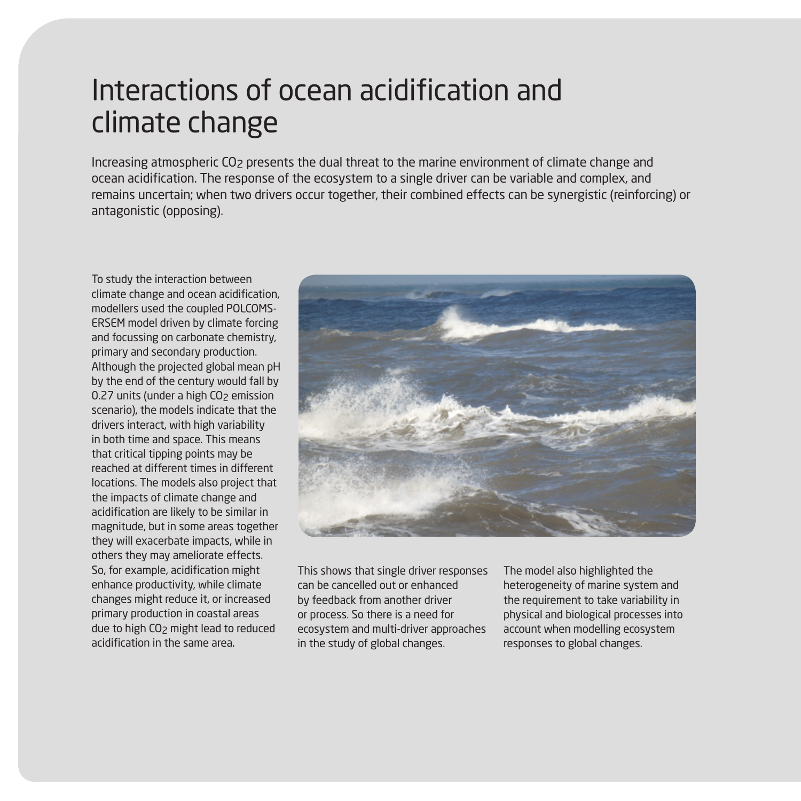# Interactions of ocean acidification and climate change

Increasing atmospheric CO2 presents the dual threat to the marine environment of climate change and ocean acidification. The response of the ecosystem to a single driver can be variable and complex, and remains uncertain; when two drivers occur together, their combined effects can be synergistic (reinforcing) or antagonistic (opposing).

To study the interaction between climate change and ocean acidification, modellers used the coupled POLCOMS-ERSEM model driven by climate forcing and focussing on carbonate chemistry, primary and secondary production. Although the projected global mean pH by the end of the century would fall by 0.27 units (under a high CO<sub>2</sub> emission scenario), the models indicate that the drivers interact, with high variability in both time and space. This means that critical tipping points may be reached at different times in different locations. The models also project that the impacts of climate change and acidification are likely to be similar in magnitude, but in some areas together they will exacerbate impacts, while in others they may ameliorate effects. So, for example, acidification might enhance productivity, while climate changes might reduce it, or increased primary production in coastal areas due to high CO2 might lead to reduced acidification in the same area.



This shows that single driver responses can be cancelled out or enhanced by feedback from another driver or process. So there is a need for ecosystem and multi-driver approaches in the study of global changes.

The model also highlighted the heterogeneity of marine system and the requirement to take variability in physical and biological processes into account when modelling ecosystem responses to global changes.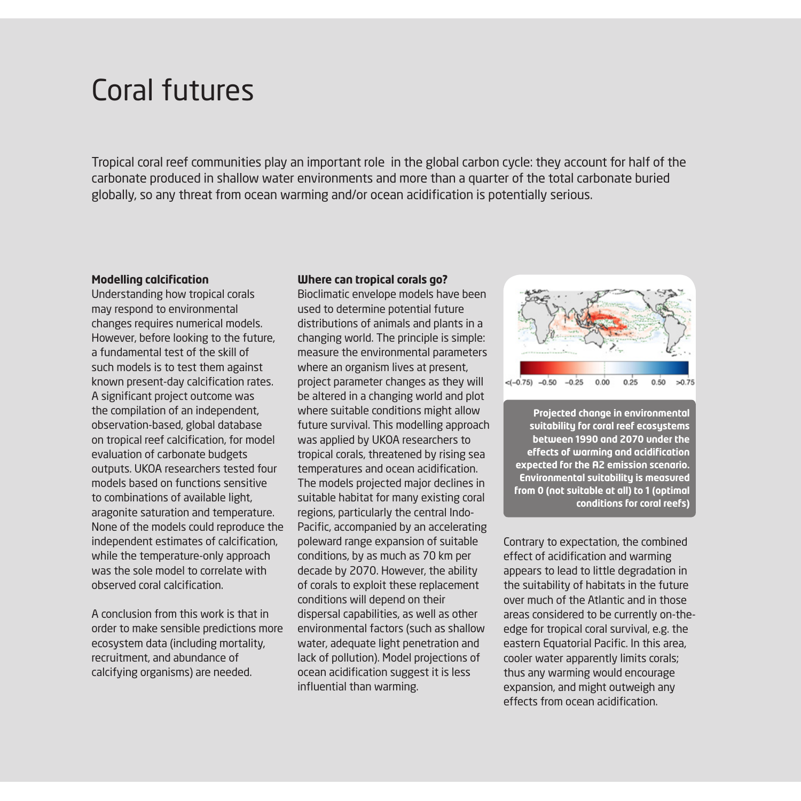### Coral futures

Tropical coral reef communities play an important role in the global carbon cycle: they account for half of the carbonate produced in shallow water environments and more than a quarter of the total carbonate buried globally, so any threat from ocean warming and/or ocean acidification is potentially serious.

#### **Modelling calcification**

Understanding how tropical corals may respond to environmental changes requires numerical models. However, before looking to the future, a fundamental test of the skill of such models is to test them against known present-day calcification rates. A significant project outcome was the compilation of an independent, observation-based, global database on tropical reef calcification, for model evaluation of carbonate budgets outputs. UKOA researchers tested four models based on functions sensitive to combinations of available light, aragonite saturation and temperature. None of the models could reproduce the independent estimates of calcification, while the temperature-only approach was the sole model to correlate with observed coral calcification.

A conclusion from this work is that in order to make sensible predictions more ecosystem data (including mortality, recruitment, and abundance of calcifying organisms) are needed.

#### **Where can tropical corals go?**

Bioclimatic envelope models have been used to determine potential future distributions of animals and plants in a changing world. The principle is simple: measure the environmental parameters where an organism lives at present, project parameter changes as they will be altered in a changing world and plot where suitable conditions might allow future survival. This modelling approach was applied by UKOA researchers to tropical corals, threatened by rising sea temperatures and ocean acidification. The models projected major declines in suitable habitat for many existing coral regions, particularly the central Indo-Pacific, accompanied by an accelerating poleward range expansion of suitable conditions, by as much as 70 km per decade by 2070. However, the ability of corals to exploit these replacement conditions will depend on their dispersal capabilities, as well as other environmental factors (such as shallow water, adequate light penetration and lack of pollution). Model projections of ocean acidification suggest it is less influential than warming.



**Projected change in environmental suitability for coral reef ecosystems between 1990 and 2070 under the effects of warming and acidification expected for the A2 emission scenario. Environmental suitability is measured from 0 (not suitable at all) to 1 (optimal conditions for coral reefs)**

Contrary to expectation, the combined effect of acidification and warming appears to lead to little degradation in the suitability of habitats in the future over much of the Atlantic and in those areas considered to be currently on-theedge for tropical coral survival, e.g. the eastern Equatorial Pacific. In this area, cooler water apparently limits corals; thus any warming would encourage expansion, and might outweigh any effects from ocean acidification.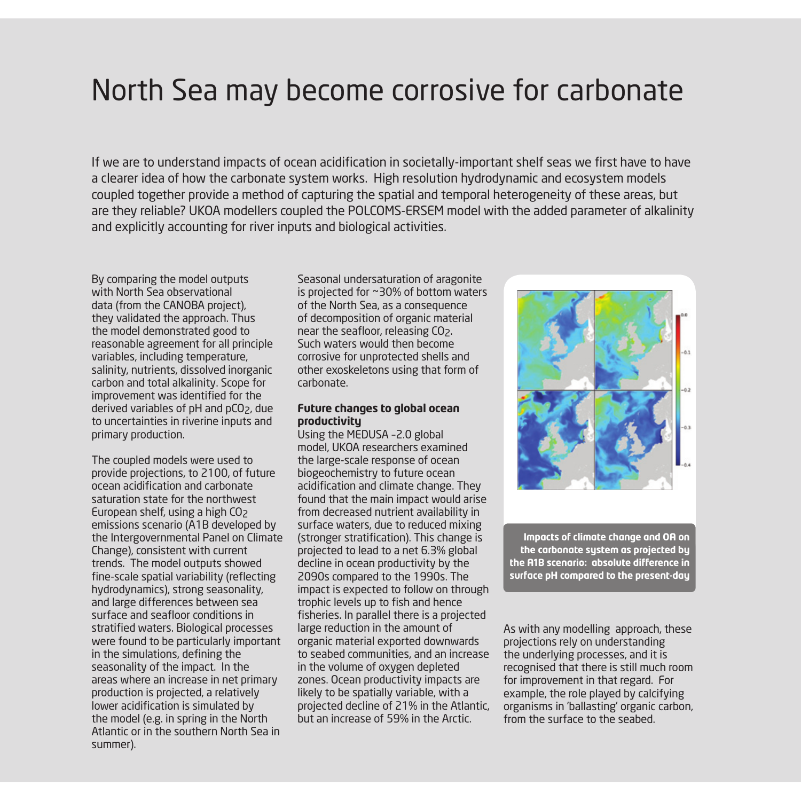## North Sea may become corrosive for carbonate

If we are to understand impacts of ocean acidification in societally-important shelf seas we first have to have a clearer idea of how the carbonate system works. High resolution hydrodynamic and ecosystem models coupled together provide a method of capturing the spatial and temporal heterogeneity of these areas, but are they reliable? UKOA modellers coupled the POLCOMS-ERSEM model with the added parameter of alkalinity and explicitly accounting for river inputs and biological activities.

By comparing the model outputs with North Sea observational data (from the CANOBA project), they validated the approach. Thus the model demonstrated good to reasonable agreement for all principle variables, including temperature, salinity, nutrients, dissolved inorganic carbon and total alkalinity. Scope for improvement was identified for the derived variables of pH and pCO2, due to uncertainties in riverine inputs and primary production.

The coupled models were used to provide projections, to 2100, of future ocean acidification and carbonate saturation state for the northwest European shelf, using a high CO<sub>2</sub> emissions scenario (A1B developed by the Intergovernmental Panel on Climate Change), consistent with current trends. The model outputs showed fine-scale spatial variability (reflecting hydrodynamics), strong seasonality, and large differences between sea surface and seafloor conditions in stratified waters. Biological processes were found to be particularly important in the simulations, defining the seasonality of the impact. In the areas where an increase in net primary production is projected, a relatively lower acidification is simulated by the model (e.g. in spring in the North Atlantic or in the southern North Sea in summer).

Seasonal undersaturation of aragonite is projected for ~30% of bottom waters of the North Sea, as a consequence of decomposition of organic material near the seafloor, releasing CO2. Such waters would then become corrosive for unprotected shells and other exoskeletons using that form of carbonate.

#### **Future changes to global ocean productivity**

Using the MEDUSA –2.0 global model, UKOA researchers examined the large-scale response of ocean biogeochemistry to future ocean acidification and climate change. They found that the main impact would arise from decreased nutrient availability in surface waters, due to reduced mixing (stronger stratification). This change is projected to lead to a net 6.3% global decline in ocean productivity by the 2090s compared to the 1990s. The impact is expected to follow on through trophic levels up to fish and hence fisheries. In parallel there is a projected large reduction in the amount of organic material exported downwards to seabed communities, and an increase in the volume of oxygen depleted zones. Ocean productivity impacts are likely to be spatially variable, with a projected decline of 21% in the Atlantic, but an increase of 59% in the Arctic.



**Impacts of climate change and OA on the carbonate system as projected by the A1B scenario: absolute difference in surface pH compared to the present-day**

As with any modelling approach, these projections rely on understanding the underlying processes, and it is recognised that there is still much room for improvement in that regard. For example, the role played by calcifying organisms in 'ballasting' organic carbon, from the surface to the seabed.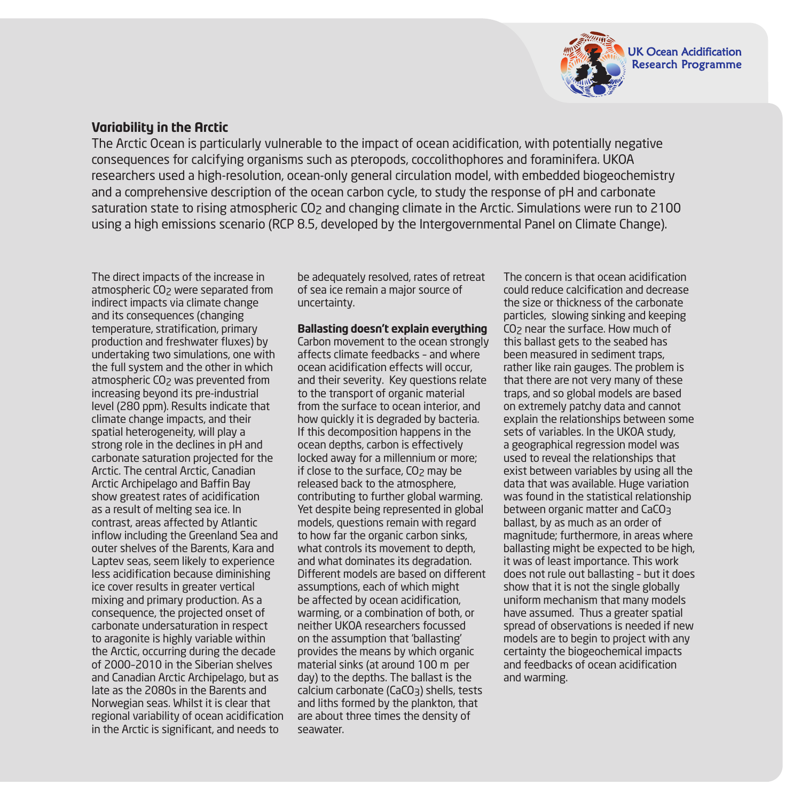

### **Variability in the Arctic**

The Arctic Ocean is particularly vulnerable to the impact of ocean acidification, with potentially negative consequences for calcifying organisms such as pteropods, coccolithophores and foraminifera. UKOA researchers used a high-resolution, ocean-only general circulation model, with embedded biogeochemistry and a comprehensive description of the ocean carbon cycle, to study the response of pH and carbonate saturation state to rising atmospheric CO<sub>2</sub> and changing climate in the Arctic. Simulations were run to 2100 using a high emissions scenario (RCP 8.5, developed by the Intergovernmental Panel on Climate Change).

The direct impacts of the increase in atmospheric CO<sub>2</sub> were separated from indirect impacts via climate change and its consequences (changing temperature, stratification, primary production and freshwater fluxes) by undertaking two simulations, one with the full system and the other in which atmospheric CO<sub>2</sub> was prevented from increasing beyond its pre-industrial level (280 ppm). Results indicate that climate change impacts, and their spatial heterogeneity, will play a strong role in the declines in pH and carbonate saturation projected for the Arctic. The central Arctic, Canadian Arctic Archipelago and Baffin Bay show greatest rates of acidification as a result of melting sea ice. In contrast, areas affected by Atlantic inflow including the Greenland Sea and outer shelves of the Barents, Kara and Laptev seas, seem likely to experience less acidification because diminishing ice cover results in greater vertical mixing and primary production. As a consequence, the projected onset of carbonate undersaturation in respect to aragonite is highly variable within the Arctic, occurring during the decade of 2000–2010 in the Siberian shelves and Canadian Arctic Archipelago, but as late as the 2080s in the Barents and Norwegian seas. Whilst it is clear that regional variability of ocean acidification in the Arctic is significant, and needs to

be adequately resolved, rates of retreat of sea ice remain a major source of uncertainty.

#### **Ballasting doesn't explain everything**

Carbon movement to the ocean strongly affects climate feedbacks – and where ocean acidification effects will occur, and their severity. Key questions relate to the transport of organic material from the surface to ocean interior, and how quickly it is degraded by bacteria. If this decomposition happens in the ocean depths, carbon is effectively locked away for a millennium or more; if close to the surface,  $CO<sub>2</sub>$  may be released back to the atmosphere, contributing to further global warming. Yet despite being represented in global models, questions remain with regard to how far the organic carbon sinks, what controls its movement to depth, and what dominates its degradation. Different models are based on different assumptions, each of which might be affected by ocean acidification, warming, or a combination of both, or neither UKOA researchers focussed on the assumption that 'ballasting' provides the means by which organic material sinks (at around 100 m per day) to the depths. The ballast is the calcium carbonate (CaCO3) shells, tests and liths formed by the plankton, that are about three times the density of seawater.

The concern is that ocean acidification could reduce calcification and decrease the size or thickness of the carbonate particles, slowing sinking and keeping CO2 near the surface. How much of this ballast gets to the seabed has been measured in sediment traps, rather like rain gauges. The problem is that there are not very many of these traps, and so global models are based on extremely patchy data and cannot explain the relationships between some sets of variables. In the UKOA study, a geographical regression model was used to reveal the relationships that exist between variables by using all the data that was available. Huge variation was found in the statistical relationship between organic matter and CaCO<sub>3</sub> ballast, by as much as an order of magnitude; furthermore, in areas where ballasting might be expected to be high, it was of least importance. This work does not rule out ballasting – but it does show that it is not the single globally uniform mechanism that many models have assumed. Thus a greater spatial spread of observations is needed if new models are to begin to project with any certainty the biogeochemical impacts and feedbacks of ocean acidification and warming.